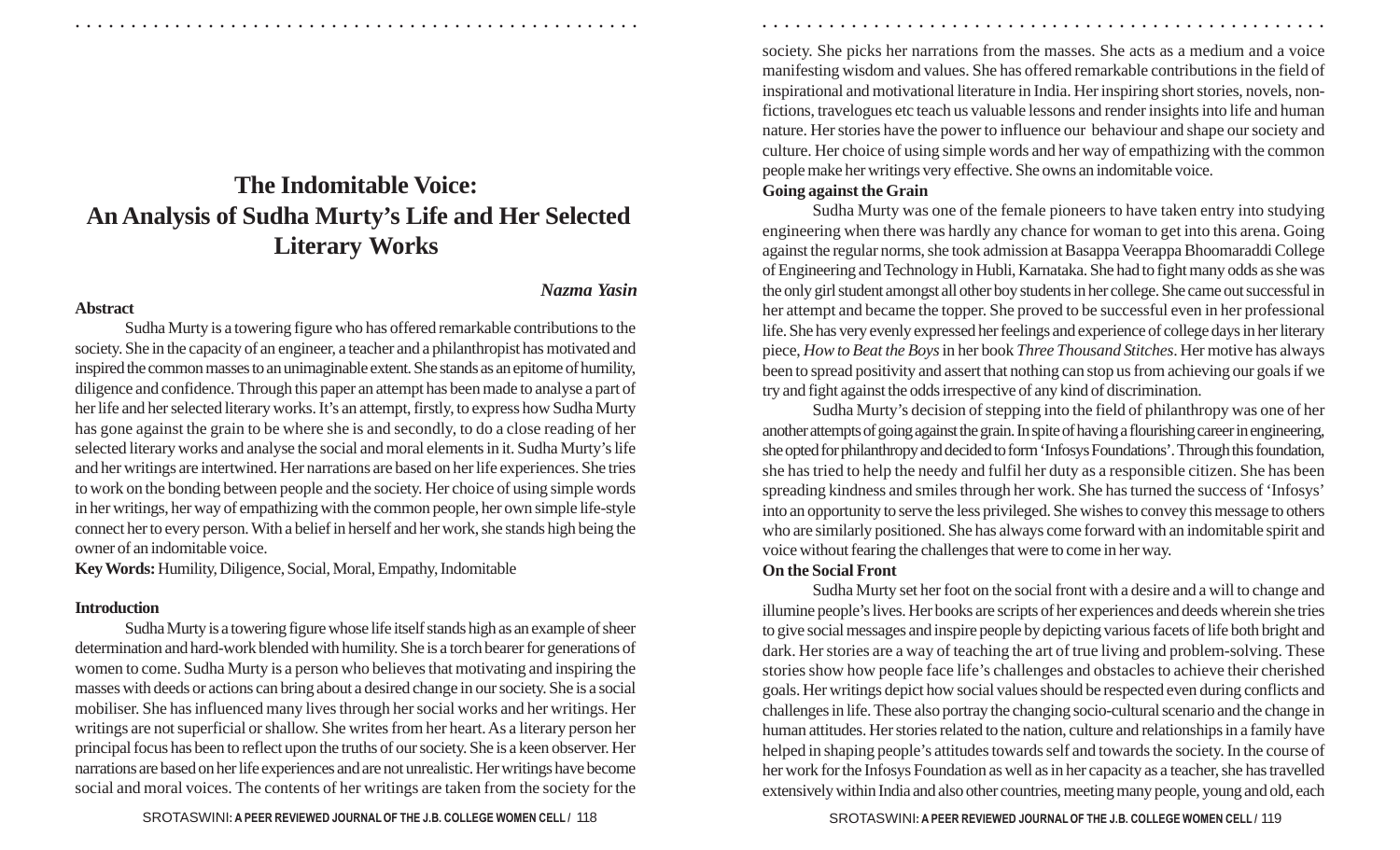# **The Indomitable Voice: An Analysis of Sudha Murty's Life and Her Selected Literary Works**

#### **Abstract**

## *Nazma Yasin*

Sudha Murty is a towering figure who has offered remarkable contributions to the society. She in the capacity of an engineer, a teacher and a philanthropist has motivated and inspired the common masses to an unimaginable extent. She stands as an epitome of humility, diligence and confidence. Through this paper an attempt has been made to analyse a part of her life and her selected literary works. It's an attempt, firstly, to express how Sudha Murty has gone against the grain to be where she is and secondly, to do a close reading of her selected literary works and analyse the social and moral elements in it. Sudha Murty's life and her writings are intertwined. Her narrations are based on her life experiences. She tries to work on the bonding between people and the society. Her choice of using simple words in her writings, her way of empathizing with the common people, her own simple life-style connect her to every person. With a belief in herself and her work, she stands high being the owner of an indomitable voice.

**Key Words:** Humility, Diligence, Social, Moral, Empathy, Indomitable

#### **Introduction**

Sudha Murty is a towering figure whose life itself stands high as an example of sheer determination and hard-work blended with humility. She is a torch bearer for generations of women to come. Sudha Murty is a person who believes that motivating and inspiring the masses with deeds or actions can bring about a desired change in our society. She is a social mobiliser. She has influenced many lives through her social works and her writings. Her writings are not superficial or shallow. She writes from her heart. As a literary person her principal focus has been to reflect upon the truths of our society. She is a keen observer. Her narrations are based on her life experiences and are not unrealistic. Her writings have become social and moral voices. The contents of her writings are taken from the society for the society. She picks her narrations from the masses. She acts as a medium and a voice manifesting wisdom and values. She has offered remarkable contributions in the field of inspirational and motivational literature in India. Her inspiring short stories, novels, nonfictions, travelogues etc teach us valuable lessons and render insights into life and human nature. Her stories have the power to influence our behaviour and shape our society and culture. Her choice of using simple words and her way of empathizing with the common people make her writings very effective. She owns an indomitable voice.

○ ○ ○ ○ ○ ○ ○ ○ ○ ○ ○ ○ ○ ○ ○ ○ ○ ○ ○ ○ ○ ○ ○ ○ ○ ○ ○ ○ ○ ○ ○ ○ ○ ○ ○ ○ ○ ○ ○ ○ ○ ○ ○ ○ ○ ○ ○ ○ ○ ○ ○ ○ ○ ○ ○ ○ ○ ○ ○ ○ ○ ○ ○ ○ ○ ○ ○ ○ ○ ○ ○ ○ ○ ○ ○ ○ ○ ○ ○ ○ ○ ○ ○ ○ ○ ○ ○ ○ ○ ○ ○ ○ ○ ○ ○ ○ ○ ○ ○ ○ ○ ○

## **Going against the Grain**

Sudha Murty was one of the female pioneers to have taken entry into studying engineering when there was hardly any chance for woman to get into this arena. Going against the regular norms, she took admission at Basappa Veerappa Bhoomaraddi College of Engineering and Technology in Hubli, Karnataka. She had to fight many odds as she was the only girl student amongst all other boy students in her college. She came out successful in her attempt and became the topper. She proved to be successful even in her professional life. She has very evenly expressed her feelings and experience of college days in her literary piece, *How to Beat the Boys* in her book *Three Thousand Stitches*. Her motive has always been to spread positivity and assert that nothing can stop us from achieving our goals if we try and fight against the odds irrespective of any kind of discrimination.

Sudha Murty's decision of stepping into the field of philanthropy was one of her another attempts of going against the grain. In spite of having a flourishing career in engineering, she opted for philanthropy and decided to form 'Infosys Foundations'. Through this foundation, she has tried to help the needy and fulfil her duty as a responsible citizen. She has been spreading kindness and smiles through her work. She has turned the success of 'Infosys' into an opportunity to serve the less privileged. She wishes to convey this message to others who are similarly positioned. She has always come forward with an indomitable spirit and voice without fearing the challenges that were to come in her way.

## **On the Social Front**

Sudha Murty set her foot on the social front with a desire and a will to change and illumine people's lives. Her books are scripts of her experiences and deeds wherein she tries to give social messages and inspire people by depicting various facets of life both bright and dark. Her stories are a way of teaching the art of true living and problem-solving. These stories show how people face life's challenges and obstacles to achieve their cherished goals. Her writings depict how social values should be respected even during conflicts and challenges in life. These also portray the changing socio-cultural scenario and the change in human attitudes. Her stories related to the nation, culture and relationships in a family have helped in shaping people's attitudes towards self and towards the society. In the course of her work for the Infosys Foundation as well as in her capacity as a teacher, she has travelled extensively within India and also other countries, meeting many people, young and old, each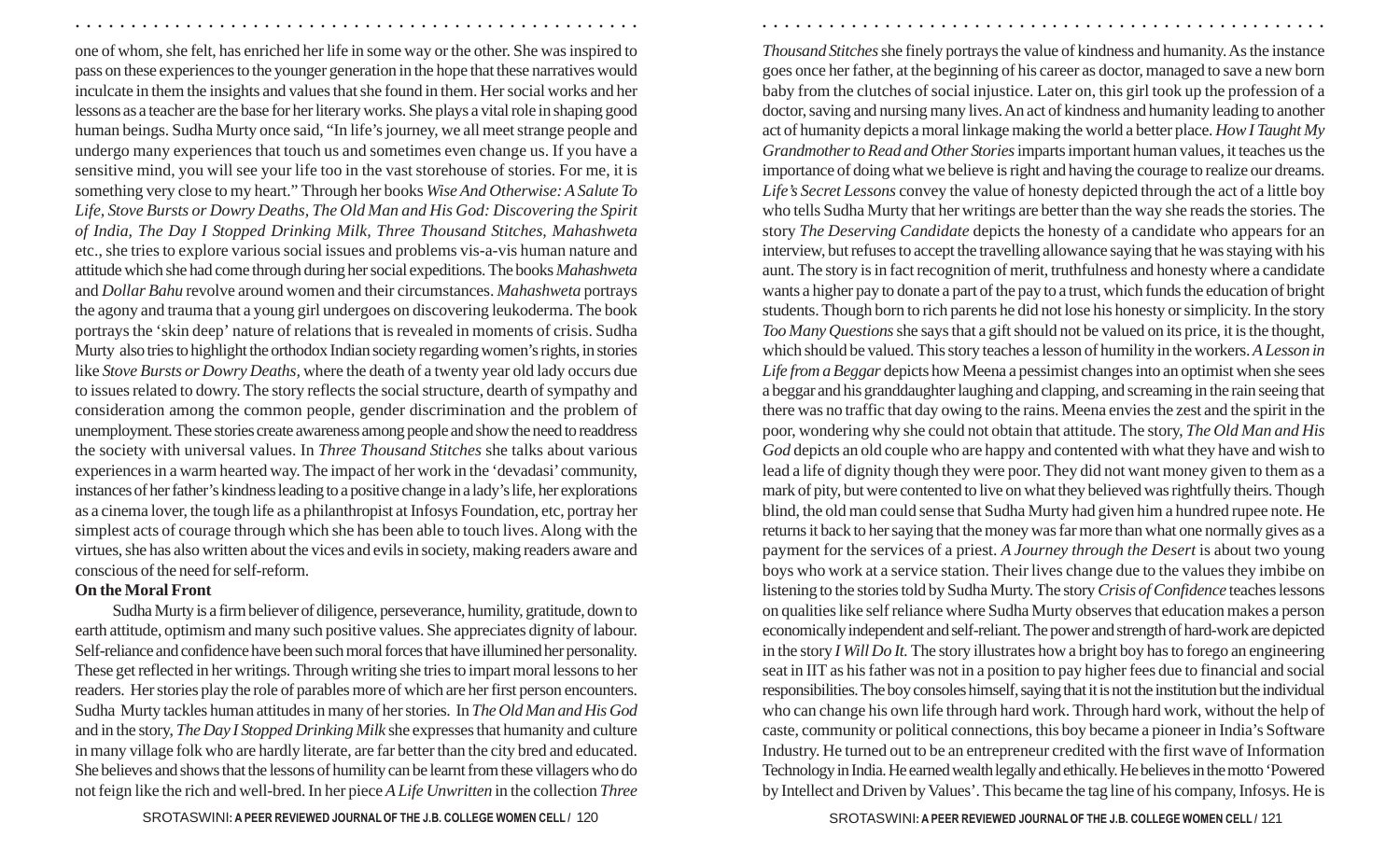one of whom, she felt, has enriched her life in some way or the other. She was inspired to pass on these experiences to the younger generation in the hope that these narratives would inculcate in them the insights and values that she found in them. Her social works and her lessons as a teacher are the base for her literary works. She plays a vital role in shaping good human beings. Sudha Murty once said, "In life's journey, we all meet strange people and undergo many experiences that touch us and sometimes even change us. If you have a sensitive mind, you will see your life too in the vast storehouse of stories. For me, it is something very close to my heart." Through her books *Wise And Otherwise: A Salute To Life, Stove Bursts or Dowry Deaths, The Old Man and His God: Discovering the Spirit of India, The Day I Stopped Drinking Milk, Three Thousand Stitches, Mahashweta* etc., she tries to explore various social issues and problems vis-a-vis human nature and attitude which she had come through during her social expeditions. The books *Mahashweta* and *Dollar Bahu* revolve around women and their circumstances. *Mahashweta* portrays the agony and trauma that a young girl undergoes on discovering leukoderma. The book portrays the 'skin deep' nature of relations that is revealed in moments of crisis. Sudha Murty also tries to highlight the orthodox Indian society regarding women's rights, in stories like *Stove Bursts or Dowry Deaths,* where the death of a twenty year old lady occurs due to issues related to dowry. The story reflects the social structure, dearth of sympathy and consideration among the common people, gender discrimination and the problem of unemployment. These stories create awareness among people and show the need to readdress the society with universal values. In *Three Thousand Stitches* she talks about various experiences in a warm hearted way. The impact of her work in the 'devadasi' community, instances of her father's kindness leading to a positive change in a lady's life, her explorations as a cinema lover, the tough life as a philanthropist at Infosys Foundation, etc, portray her simplest acts of courage through which she has been able to touch lives. Along with the virtues, she has also written about the vices and evilsin society, making readers aware and conscious of the need for self-reform.

## **On the Moral Front**

Sudha Murty is a firm believer of diligence, perseverance, humility, gratitude, down to earth attitude, optimism and many such positive values. She appreciates dignity of labour. Self-reliance and confidence have been such moral forces that have illumined her personality. These get reflected in her writings. Through writing she tries to impart moral lessons to her readers. Her stories play the role of parables more of which are her first person encounters. Sudha Murty tackles human attitudes in many of her stories. In *The Old Man and His God* and in the story, *The Day I Stopped Drinking Milk* she expresses that humanity and culture in many village folk who are hardly literate, are far better than the city bred and educated. She believes and shows that the lessons of humility can be learnt from these villagers who do not feign like the rich and well-bred. In her piece *A Life Unwritten* in the collection *Three*

SROTASWINI**: A PEER REVIEWED JOURNAL OF THE J.B. COLLEGE WOMEN CELL /** SROTASWINI**: A PEER REVIEWED JOURNAL OF THE J.B. COLLEGE WOMEN CELL /** 120 121*Life's Secret Lessons* convey the value of honesty depicted through the act of a little boy who tells Sudha Murty that her writings are better than the way she reads the stories. The story *The Deserving Candidate* depicts the honesty of a candidate who appears for an interview, but refuses to accept the travelling allowance saying that he was staying with his aunt. The story is in fact recognition of merit, truthfulness and honesty where a candidate wants a higher pay to donate a part of the pay to a trust, which funds the education of bright students. Though born to rich parents he did not lose his honesty or simplicity. In the story *Too Many Questions* she says that a gift should not be valued on its price, it is the thought, which should be valued. This story teaches a lesson of humility in the workers. *A Lesson in Life from a Beggar* depicts how Meena a pessimist changes into an optimist when she sees a beggar and his granddaughter laughing and clapping, and screaming in the rain seeing that there was no traffic that day owing to the rains. Meena envies the zest and the spirit in the poor, wondering why she could not obtain that attitude. The story, *The Old Man and His God* depicts an old couple who are happy and contented with what they have and wish to lead a life of dignity though they were poor. They did not want money given to them as a mark of pity, but were contented to live on what they believed was rightfully theirs. Though blind, the old man could sense that Sudha Murty had given him a hundred rupee note. He returns it back to her saying that the money was far more than what one normally gives as a payment for the services of a priest. *A Journey through the Desert* is about two young boys who work at a service station. Their lives change due to the values they imbibe on listening to the stories told by Sudha Murty. The story *Crisis of Confidence* teaches lessons on qualities like self reliance where Sudha Murty observes that education makes a person economically independent and self-reliant. The power and strength of hard-work are depicted in the story *I Will Do It.* The story illustrates how a bright boy has to forego an engineering seat in IIT as his father was not in a position to pay higher fees due to financial and social responsibilities. The boy consoles himself, saying that it is not the institution but the individual who can change his own life through hard work. Through hard work, without the help of caste, community or political connections, this boy became a pioneer in India's Software Industry. He turned out to be an entrepreneur credited with the first wave of Information Technology in India. He earned wealth legally and ethically. He believes in the motto 'Powered by Intellect and Driven by Values'.This became the tag line of his company, Infosys. He is

*Thousand Stitches* she finely portrays the value of kindness and humanity. As the instance goes once her father, at the beginning of his career as doctor, managed to save a new born baby from the clutches of social injustice. Later on, this girl took up the profession of a doctor, saving and nursing many lives. An act of kindness and humanity leading to another act of humanity depicts a moral linkage making the world a better place. *How I Taught My Grandmother to Read and Other Stories* imparts important human values, it teaches us the importance of doing what we believe is right and having the courage to realize our dreams.

○ ○ ○ ○ ○ ○ ○ ○ ○ ○ ○ ○ ○ ○ ○ ○ ○ ○ ○ ○ ○ ○ ○ ○ ○ ○ ○ ○ ○ ○ ○ ○ ○ ○ ○ ○ ○ ○ ○ ○ ○ ○ ○ ○ ○ ○ ○ ○ ○ ○ ○ ○ ○ ○ ○ ○ ○ ○ ○ ○ ○ ○ ○ ○ ○ ○ ○ ○ ○ ○ ○ ○ ○ ○ ○ ○ ○ ○ ○ ○ ○ ○ ○ ○ ○ ○ ○ ○ ○ ○ ○ ○ ○ ○ ○ ○ ○ ○ ○ ○ ○ ○